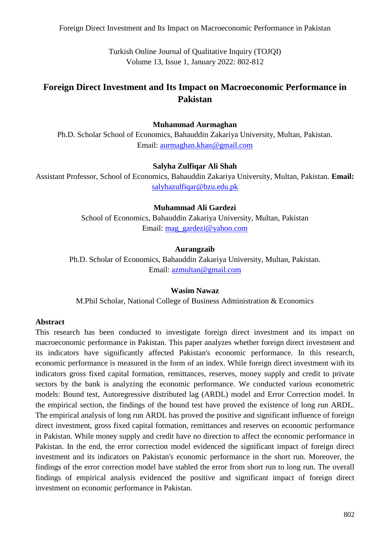Foreign Direct Investment and Its Impact on Macroeconomic Performance in Pakistan

Turkish Online Journal of Qualitative Inquiry (TOJQI) Volume 13, Issue 1, January 2022: 802-812

# **Foreign Direct Investment and Its Impact on Macroeconomic Performance in Pakistan**

#### **Muhammad Aurmaghan**

Ph.D. Scholar School of Economics, Bahauddin Zakariya University, Multan, Pakistan. Email: [aurmaghan.khan@gmail.com](mailto:aurmaghan.khan@gmail.com)

#### **Salyha Zulfiqar Ali Shah**

Assistant Professor, School of Economics, Bahauddin Zakariya University, Multan, Pakistan. **Email:**  [salyhazulfiqar@bzu.edu.pk](mailto:salyhazulfiqar@bzu.edu.pk)

#### **Muhammad Ali Gardezi**

School of Economics, Bahauddin Zakariya University, Multan, Pakistan Email: [mag\\_gardezi@yahoo.com](mailto:mag_gardezi@yahoo.com)

#### **Aurangzaib**

Ph.D. Scholar of Economics, Bahauddin Zakariya University, Multan, Pakistan. Email: [azmultan@gmail.com](mailto:azmultan@gmail.com)

#### **Wasim Nawaz**

M.Phil Scholar, National College of Business Administration & Economics

#### **Abstract**

This research has been conducted to investigate foreign direct investment and its impact on macroeconomic performance in Pakistan. This paper analyzes whether foreign direct investment and its indicators have significantly affected Pakistan's economic performance. In this research, economic performance is measured in the form of an index. While foreign direct investment with its indicators gross fixed capital formation, remittances, reserves, money supply and credit to private sectors by the bank is analyzing the economic performance. We conducted various econometric models: Bound test, Autoregressive distributed lag (ARDL) model and Error Correction model. In the empirical section, the findings of the bound test have proved the existence of long run ARDL. The empirical analysis of long run ARDL has proved the positive and significant influence of foreign direct investment, gross fixed capital formation, remittances and reserves on economic performance in Pakistan. While money supply and credit have no direction to affect the economic performance in Pakistan. In the end, the error correction model evidenced the significant impact of foreign direct investment and its indicators on Pakistan's economic performance in the short run. Moreover, the findings of the error correction model have stabled the error from short run to long run. The overall findings of empirical analysis evidenced the positive and significant impact of foreign direct investment on economic performance in Pakistan.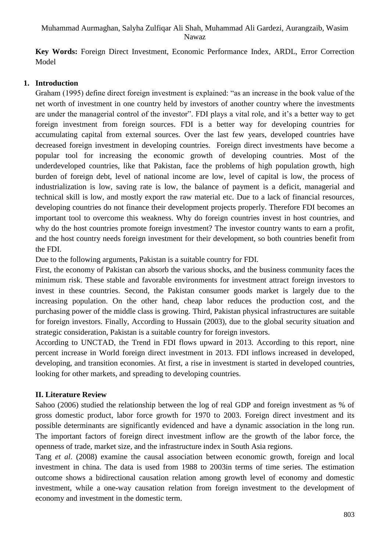**Key Words:** Foreign Direct Investment, Economic Performance Index, ARDL, Error Correction Model

#### **1. Introduction**

Graham (1995) define direct foreign investment is explained: "as an increase in the book value of the net worth of investment in one country held by investors of another country where the investments are under the managerial control of the investor". FDI plays a vital role, and it's a better way to get foreign investment from foreign sources. FDI is a better way for developing countries for accumulating capital from external sources. Over the last few years, developed countries have decreased foreign investment in developing countries. Foreign direct investments have become a popular tool for increasing the economic growth of developing countries. Most of the underdeveloped countries, like that Pakistan, face the problems of high population growth, high burden of foreign debt, level of national income are low, level of capital is low, the process of industrialization is low, saving rate is low, the balance of payment is a deficit, managerial and technical skill is low, and mostly export the raw material etc. Due to a lack of financial resources, developing countries do not finance their development projects properly. Therefore FDI becomes an important tool to overcome this weakness. Why do foreign countries invest in host countries, and why do the host countries promote foreign investment? The investor country wants to earn a profit, and the host country needs foreign investment for their development, so both countries benefit from the FDI.

Due to the following arguments, Pakistan is a suitable country for FDI.

First, the economy of Pakistan can absorb the various shocks, and the business community faces the minimum risk. These stable and favorable environments for investment attract foreign investors to invest in these countries. Second, the Pakistan consumer goods market is largely due to the increasing population. On the other hand, cheap labor reduces the production cost, and the purchasing power of the middle class is growing. Third, Pakistan physical infrastructures are suitable for foreign investors. Finally, According to Hussain (2003), due to the global security situation and strategic consideration, Pakistan is a suitable country for foreign investors.

According to UNCTAD, the Trend in FDI flows upward in 2013. According to this report, nine percent increase in World foreign direct investment in 2013. FDI inflows increased in developed, developing, and transition economies. At first, a rise in investment is started in developed countries, looking for other markets, and spreading to developing countries.

## **II. Literature Review**

Sahoo (2006) studied the relationship between the log of real GDP and foreign investment as % of gross domestic product, labor force growth for 1970 to 2003. Foreign direct investment and its possible determinants are significantly evidenced and have a dynamic association in the long run. The important factors of foreign direct investment inflow are the growth of the labor force, the openness of trade, market size, and the infrastructure index in South Asia regions.

Tang *et al*. (2008) examine the causal association between economic growth, foreign and local investment in china. The data is used from 1988 to 2003in terms of time series. The estimation outcome shows a bidirectional causation relation among growth level of economy and domestic investment, while a one-way causation relation from foreign investment to the development of economy and investment in the domestic term.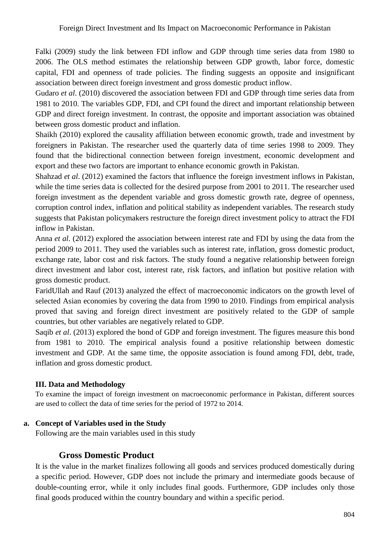Falki (2009) study the link between FDI inflow and GDP through time series data from 1980 to 2006. The OLS method estimates the relationship between GDP growth, labor force, domestic capital, FDI and openness of trade policies. The finding suggests an opposite and insignificant association between direct foreign investment and gross domestic product inflow.

Gudaro *et al*. (2010) discovered the association between FDI and GDP through time series data from 1981 to 2010. The variables GDP, FDI, and CPI found the direct and important relationship between GDP and direct foreign investment. In contrast, the opposite and important association was obtained between gross domestic product and inflation.

Shaikh (2010) explored the causality affiliation between economic growth, trade and investment by foreigners in Pakistan. The researcher used the quarterly data of time series 1998 to 2009. They found that the bidirectional connection between foreign investment, economic development and export and these two factors are important to enhance economic growth in Pakistan.

Shahzad *et al*. (2012) examined the factors that influence the foreign investment inflows in Pakistan, while the time series data is collected for the desired purpose from 2001 to 2011. The researcher used foreign investment as the dependent variable and gross domestic growth rate, degree of openness, corruption control index, inflation and political stability as independent variables. The research study suggests that Pakistan policymakers restructure the foreign direct investment policy to attract the FDI inflow in Pakistan.

Anna *et al*. (2012) explored the association between interest rate and FDI by using the data from the period 2009 to 2011. They used the variables such as interest rate, inflation, gross domestic product, exchange rate, labor cost and risk factors. The study found a negative relationship between foreign direct investment and labor cost, interest rate, risk factors, and inflation but positive relation with gross domestic product.

FaridUllah and Rauf (2013) analyzed the effect of macroeconomic indicators on the growth level of selected Asian economies by covering the data from 1990 to 2010. Findings from empirical analysis proved that saving and foreign direct investment are positively related to the GDP of sample countries, but other variables are negatively related to GDP.

Saqib *et al*. (2013) explored the bond of GDP and foreign investment. The figures measure this bond from 1981 to 2010. The empirical analysis found a positive relationship between domestic investment and GDP. At the same time, the opposite association is found among FDI, debt, trade, inflation and gross domestic product.

#### **III. Data and Methodology**

To examine the impact of foreign investment on macroeconomic performance in Pakistan, different sources are used to collect the data of time series for the period of 1972 to 2014.

#### **a. Concept of Variables used in the Study**

Following are the main variables used in this study

## **Gross Domestic Product**

It is the value in the market finalizes following all goods and services produced domestically during a specific period. However, GDP does not include the primary and intermediate goods because of double-counting error, while it only includes final goods. Furthermore, GDP includes only those final goods produced within the country boundary and within a specific period.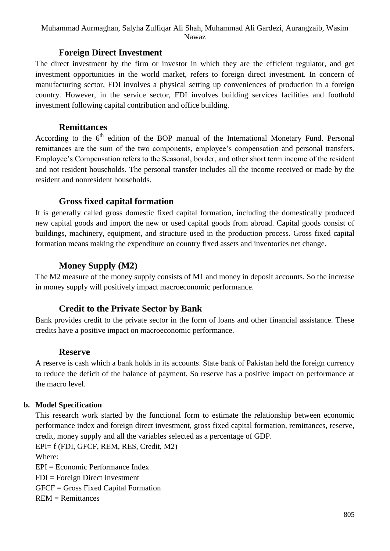#### Muhammad Aurmaghan, Salyha Zulfiqar Ali Shah, Muhammad Ali Gardezi, Aurangzaib, Wasim Nawaz

#### **Foreign Direct Investment**

The direct investment by the firm or investor in which they are the efficient regulator, and get investment opportunities in the world market, refers to foreign direct investment. In concern of manufacturing sector, FDI involves a physical setting up conveniences of production in a foreign country. However, in the service sector, FDI involves building services facilities and foothold investment following capital contribution and office building.

#### **Remittances**

According to the  $6<sup>th</sup>$  edition of the BOP manual of the International Monetary Fund. Personal remittances are the sum of the two components, employee's compensation and personal transfers. Employee's Compensation refers to the Seasonal, border, and other short term income of the resident and not resident households. The personal transfer includes all the income received or made by the resident and nonresident households.

## **Gross fixed capital formation**

It is generally called gross domestic fixed capital formation, including the domestically produced new capital goods and import the new or used capital goods from abroad. Capital goods consist of buildings, machinery, equipment, and structure used in the production process. Gross fixed capital formation means making the expenditure on country fixed assets and inventories net change.

# **Money Supply (M2)**

The M2 measure of the money supply consists of M1 and money in deposit accounts. So the increase in money supply will positively impact macroeconomic performance.

# **Credit to the Private Sector by Bank**

Bank provides credit to the private sector in the form of loans and other financial assistance. These credits have a positive impact on macroeconomic performance.

## **Reserve**

A reserve is cash which a bank holds in its accounts. State bank of Pakistan held the foreign currency to reduce the deficit of the balance of payment. So reserve has a positive impact on performance at the macro level.

## **b. Model Specification**

This research work started by the functional form to estimate the relationship between economic performance index and foreign direct investment, gross fixed capital formation, remittances, reserve, credit, money supply and all the variables selected as a percentage of GDP.

EPI= f (FDI, GFCF, REM, RES, Credit, M2) Where: EPI = Economic Performance Index FDI = Foreign Direct Investment GFCF = Gross Fixed Capital Formation REM = Remittances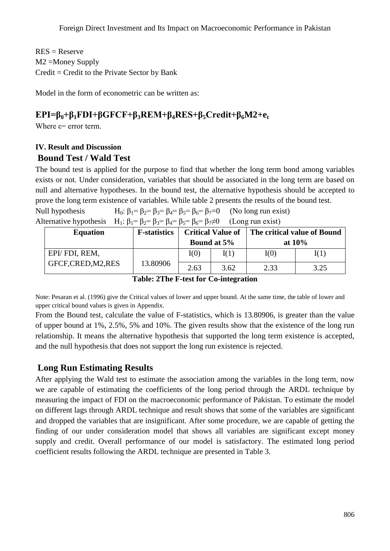$RES = Reserve$ M2 =Money Supply  $Credit = Credit to the Private Sector by Bank$ 

Model in the form of econometric can be written as:

# **EPI=β0+β1FDI+βGFCF+β3REM+β4RES+β5Credit+β6M2+e<sup>t</sup>**

Where  $\varepsilon$ = error term.

# **IV. Result and Discussion**

# **Bound Test / Wald Test**

The bound test is applied for the purpose to find that whether the long term bond among variables exists or not. Under consideration, variables that should be associated in the long term are based on null and alternative hypotheses. In the bound test, the alternative hypothesis should be accepted to prove the long term existence of variables. While table 2 presents the results of the bound test.

Null hypothesis  $H_0: \beta_1 = \beta_2 = \beta_3 = \beta_4 = \beta_5 = \beta_6 = \beta_7 = 0$  (No long run exist) Alternative hypothesis  $H_1: \beta_1 = \beta_2 = \beta_3 = \beta_4 = \beta_5 = \beta_6 = \beta_7 \neq 0$  (Long run exist)

| <b>Equation</b>     | <b>F</b> -statistics | <b>Critical Value of</b> |      | The critical value of Bound |      |
|---------------------|----------------------|--------------------------|------|-----------------------------|------|
|                     |                      | <b>Bound at 5%</b>       |      | at $10\%$                   |      |
| EPI/FDI, REM,       |                      | I(0)                     | I(1) | I(0)                        | I(1) |
| GFCF, CRED, M2, RES | 13.80906             | 2.63                     | 3.62 | 2.33                        | 3.25 |

**Table: 2The F-test for Co-integration**

Note: Pesaran et al. (1996) give the Critical values of lower and upper bound. At the same time, the table of lower and upper critical bound values is given in Appendix.

From the Bound test, calculate the value of F-statistics, which is 13.80906, is greater than the value of upper bound at 1%, 2.5%, 5% and 10%. The given results show that the existence of the long run relationship. It means the alternative hypothesis that supported the long term existence is accepted, and the null hypothesis that does not support the long run existence is rejected.

# **Long Run Estimating Results**

After applying the Wald test to estimate the association among the variables in the long term, now we are capable of estimating the coefficients of the long period through the ARDL technique by measuring the impact of FDI on the macroeconomic performance of Pakistan. To estimate the model on different lags through ARDL technique and result shows that some of the variables are significant and dropped the variables that are insignificant. After some procedure, we are capable of getting the finding of our under consideration model that shows all variables are significant except money supply and credit. Overall performance of our model is satisfactory. The estimated long period coefficient results following the ARDL technique are presented in Table 3.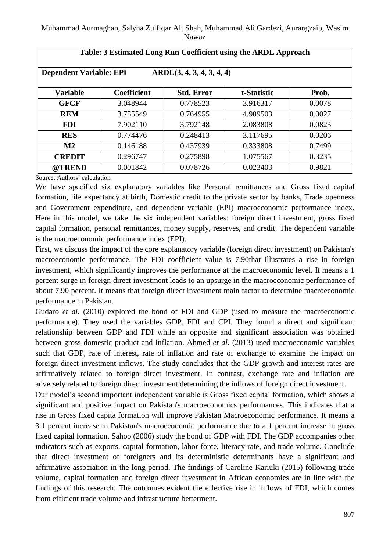| Table: 3 Estimated Long Run Coefficient using the ARDL Approach |                    |                   |             |        |  |  |
|-----------------------------------------------------------------|--------------------|-------------------|-------------|--------|--|--|
| <b>Dependent Variable: EPI</b><br>ARDL(3, 4, 3, 4, 3, 4, 4)     |                    |                   |             |        |  |  |
| <b>Variable</b>                                                 | <b>Coefficient</b> | <b>Std. Error</b> | t-Statistic | Prob.  |  |  |
| <b>GFCF</b>                                                     | 3.048944           | 0.778523          | 3.916317    | 0.0078 |  |  |
| <b>REM</b>                                                      | 3.755549           | 0.764955          | 4.909503    | 0.0027 |  |  |
| <b>FDI</b>                                                      | 7.902110           | 3.792148          | 2.083808    | 0.0823 |  |  |
| <b>RES</b>                                                      | 0.774476           | 0.248413          | 3.117695    | 0.0206 |  |  |
| $\mathbf{M2}$                                                   | 0.146188           | 0.437939          | 0.333808    | 0.7499 |  |  |
| <b>CREDIT</b>                                                   | 0.296747           | 0.275898          | 1.075567    | 0.3235 |  |  |
| @TREND                                                          | 0.001842           | 0.078726          | 0.023403    | 0.9821 |  |  |

Source: Authors' calculation

We have specified six explanatory variables like Personal remittances and Gross fixed capital formation, life expectancy at birth, Domestic credit to the private sector by banks, Trade openness and Government expenditure, and dependent variable (EPI) macroeconomic performance index. Here in this model, we take the six independent variables: foreign direct investment, gross fixed capital formation, personal remittances, money supply, reserves, and credit. The dependent variable is the macroeconomic performance index (EPI).

First, we discuss the impact of the core explanatory variable (foreign direct investment) on Pakistan's macroeconomic performance. The FDI coefficient value is 7.90that illustrates a rise in foreign investment, which significantly improves the performance at the macroeconomic level. It means a 1 percent surge in foreign direct investment leads to an upsurge in the macroeconomic performance of about 7.90 percent. It means that foreign direct investment main factor to determine macroeconomic performance in Pakistan.

Gudaro *et al*. (2010) explored the bond of FDI and GDP (used to measure the macroeconomic performance). They used the variables GDP, FDI and CPI. They found a direct and significant relationship between GDP and FDI while an opposite and significant association was obtained between gross domestic product and inflation. Ahmed *et al*. (2013) used macroeconomic variables such that GDP, rate of interest, rate of inflation and rate of exchange to examine the impact on foreign direct investment inflows. The study concludes that the GDP growth and interest rates are affirmatively related to foreign direct investment. In contrast, exchange rate and inflation are adversely related to foreign direct investment determining the inflows of foreign direct investment.

Our model's second important independent variable is Gross fixed capital formation, which shows a significant and positive impact on Pakistan's macroeconomics performances. This indicates that a rise in Gross fixed capita formation will improve Pakistan Macroeconomic performance. It means a 3.1 percent increase in Pakistan's macroeconomic performance due to a 1 percent increase in gross fixed capital formation. Sahoo (2006) study the bond of GDP with FDI. The GDP accompanies other indicators such as exports, capital formation, labor force, literacy rate, and trade volume. Conclude that direct investment of foreigners and its deterministic determinants have a significant and affirmative association in the long period. The findings of Caroline Kariuki (2015) following trade volume, capital formation and foreign direct investment in African economies are in line with the findings of this research. The outcomes evident the effective rise in inflows of FDI, which comes from efficient trade volume and infrastructure betterment.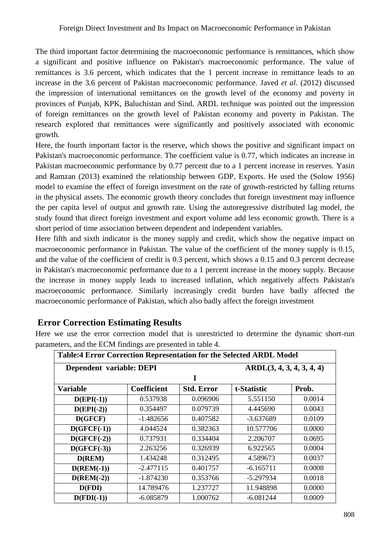The third important factor determining the macroeconomic performance is remittances, which show a significant and positive influence on Pakistan's macroeconomic performance. The value of remittances is 3.6 percent, which indicates that the 1 percent increase in remittance leads to an increase in the 3.6 percent of Pakistan macroeconomic performance. Javed *et al.* (2012) discussed the impression of international remittances on the growth level of the economy and poverty in provinces of Punjab, KPK, Baluchistan and Sind. ARDL technique was pointed out the impression of foreign remittances on the growth level of Pakistan economy and poverty in Pakistan. The research explored that remittances were significantly and positively associated with economic growth.

Here, the fourth important factor is the reserve, which shows the positive and significant impact on Pakistan's macroeconomic performance. The coefficient value is 0.77, which indicates an increase in Pakistan macroeconomic performance by 0.77 percent due to a 1 percent increase in reserves. Yasin and Ramzan (2013) examined the relationship between GDP, Exports. He used the (Solow 1956) model to examine the effect of foreign investment on the rate of growth-restricted by falling returns in the physical assets. The economic growth theory concludes that foreign investment may influence the per capita level of output and growth rate. Using the autoregressive distributed lag model, the study found that direct foreign investment and export volume add less economic growth. There is a short period of time association between dependent and independent variables.

Here fifth and sixth indicator is the money supply and credit, which show the negative impact on macroeconomic performance in Pakistan. The value of the coefficient of the money supply is 0.15, and the value of the coefficient of credit is 0.3 percent, which shows a 0.15 and 0.3 percent decrease in Pakistan's macroeconomic performance due to a 1 percent increase in the money supply. Because the increase in money supply leads to increased inflation, which negatively affects Pakistan's macroeconomic performance. Similarly increasingly credit burden have badly affected the macroeconomic performance of Pakistan, which also badly affect the foreign investment

## **Error Correction Estimating Results**

Here we use the error correction model that is unrestricted to determine the dynamic short-run parameters, and the ECM findings are presented in table 4.

| Table:4 Error Correction Representation for the Selected ARDL Model |             |                   |                           |        |  |
|---------------------------------------------------------------------|-------------|-------------------|---------------------------|--------|--|
| Dependent variable: DEPI                                            |             |                   | ARDL(3, 4, 3, 4, 3, 4, 4) |        |  |
|                                                                     |             | I                 |                           |        |  |
| <b>Variable</b>                                                     | Coefficient | <b>Std. Error</b> | t-Statistic               | Prob.  |  |
| $D(EPI(-1))$                                                        | 0.537938    | 0.096906          | 5.551150                  | 0.0014 |  |
| $D(EPI(-2))$                                                        | 0.354497    | 0.079739          | 4.445690                  | 0.0043 |  |
| D(GFCF)                                                             | $-1.482656$ | 0.407582          | -3.637689                 | 0.0109 |  |
| $D(GFCF(-1))$                                                       | 4.044524    | 0.382363          | 10.577706                 | 0.0000 |  |
| $D(GFCF(-2))$                                                       | 0.737931    | 0.334404          | 2.206707                  | 0.0695 |  |
| $D(GFCF(-3))$                                                       | 2.263256    | 0.326939          | 6.922565                  | 0.0004 |  |
| D(REM)                                                              | 1.434248    | 0.312495          | 4.589673                  | 0.0037 |  |
| $D(REM(-1))$                                                        | $-2.477115$ | 0.401757          | $-6.165711$               | 0.0008 |  |
| $D(REM(-2))$                                                        | $-1.874230$ | 0.353766          | $-5.297934$               | 0.0018 |  |
| D(FDI)                                                              | 14.789476   | 1.237727          | 11.948898                 | 0.0000 |  |
| $D(FDI(-1))$                                                        | $-6.085879$ | 1.000762          | $-6.081244$               | 0.0009 |  |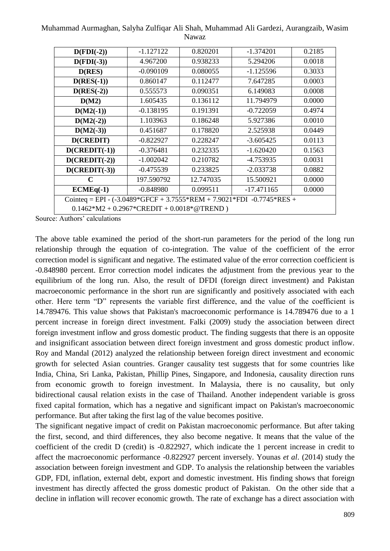Muhammad Aurmaghan, Salyha Zulfiqar Ali Shah, Muhammad Ali Gardezi, Aurangzaib, Wasim Nawaz

| $D(FDI(-2))$                                                                    | $-1.127122$ | 0.820201  | $-1.374201$  | 0.2185 |  |
|---------------------------------------------------------------------------------|-------------|-----------|--------------|--------|--|
| $D(FDI(-3))$                                                                    | 4.967200    | 0.938233  | 5.294206     | 0.0018 |  |
| D(RES)                                                                          | $-0.090109$ | 0.080055  | $-1.125596$  | 0.3033 |  |
| $D(RES(-1))$                                                                    | 0.860147    | 0.112477  | 7.647285     | 0.0003 |  |
| $D(RES(-2))$                                                                    | 0.555573    | 0.090351  | 6.149083     | 0.0008 |  |
| D(M2)                                                                           | 1.605435    | 0.136112  | 11.794979    | 0.0000 |  |
| $D(M2(-1))$                                                                     | $-0.138195$ | 0.191391  | $-0.722059$  | 0.4974 |  |
| $D(M2(-2))$                                                                     | 1.103963    | 0.186248  | 5.927386     | 0.0010 |  |
| $D(M2(-3))$                                                                     | 0.451687    | 0.178820  | 2.525938     | 0.0449 |  |
| D(CREDIT)                                                                       | $-0.822927$ | 0.228247  | $-3.605425$  | 0.0113 |  |
| $D(CREDIT(-1))$                                                                 | $-0.376481$ | 0.232335  | $-1.620420$  | 0.1563 |  |
| $D(CREDIT(-2))$                                                                 | $-1.002042$ | 0.210782  | -4.753935    | 0.0031 |  |
| $D(CREDIT(-3))$                                                                 | $-0.475539$ | 0.233825  | $-2.033738$  | 0.0882 |  |
| $\mathbf C$                                                                     | 197.590792  | 12.747035 | 15.500921    | 0.0000 |  |
| $ECMEq(-1)$                                                                     | $-0.848980$ | 0.099511  | $-17.471165$ | 0.0000 |  |
| Cointeq = EPI - $(-3.0489 * GFCF + 3.7555 * REM + 7.9021 * FDI -0.7745 * RES +$ |             |           |              |        |  |
| $0.1462*M2 + 0.2967*CREDIT + 0.0018*@TREND)$                                    |             |           |              |        |  |

Source: Authors' calculations

The above table examined the period of the short-run parameters for the period of the long run relationship through the equation of co-integration. The value of the coefficient of the error correction model is significant and negative. The estimated value of the error correction coefficient is -0.848980 percent. Error correction model indicates the adjustment from the previous year to the equilibrium of the long run. Also, the result of DFDI (foreign direct investment) and Pakistan macroeconomic performance in the short run are significantly and positively associated with each other. Here term "D" represents the variable first difference, and the value of the coefficient is 14.789476. This value shows that Pakistan's macroeconomic performance is 14.789476 due to a 1 percent increase in foreign direct investment. Falki (2009) study the association between direct foreign investment inflow and gross domestic product. The finding suggests that there is an opposite and insignificant association between direct foreign investment and gross domestic product inflow. Roy and Mandal (2012) analyzed the relationship between foreign direct investment and economic growth for selected Asian countries. Granger causality test suggests that for some countries like India, China, Sri Lanka, Pakistan, Phillip Pines, Singapore, and Indonesia, causality direction runs from economic growth to foreign investment. In Malaysia, there is no causality, but only bidirectional causal relation exists in the case of Thailand. Another independent variable is gross fixed capital formation, which has a negative and significant impact on Pakistan's macroeconomic performance. But after taking the first lag of the value becomes positive.

The significant negative impact of credit on Pakistan macroeconomic performance. But after taking the first, second, and third differences, they also become negative. It means that the value of the coefficient of the credit D (credit) is -0.822927, which indicate the 1 percent increase in credit to affect the macroeconomic performance -0.822927 percent inversely. Younas *et al*. (2014) study the association between foreign investment and GDP. To analysis the relationship between the variables GDP, FDI, inflation, external debt, export and domestic investment. His finding shows that foreign investment has directly affected the gross domestic product of Pakistan. On the other side that a decline in inflation will recover economic growth. The rate of exchange has a direct association with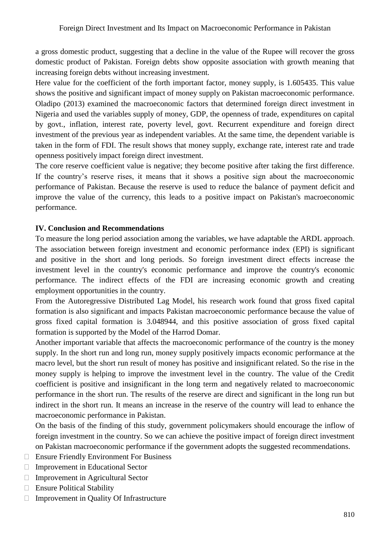a gross domestic product, suggesting that a decline in the value of the Rupee will recover the gross domestic product of Pakistan. Foreign debts show opposite association with growth meaning that increasing foreign debts without increasing investment.

Here value for the coefficient of the forth important factor, money supply, is 1.605435. This value shows the positive and significant impact of money supply on Pakistan macroeconomic performance. Oladipo (2013) examined the macroeconomic factors that determined foreign direct investment in Nigeria and used the variables supply of money, GDP, the openness of trade, expenditures on capital by govt., inflation, interest rate, poverty level, govt. Recurrent expenditure and foreign direct investment of the previous year as independent variables. At the same time, the dependent variable is taken in the form of FDI. The result shows that money supply, exchange rate, interest rate and trade openness positively impact foreign direct investment.

The core reserve coefficient value is negative; they become positive after taking the first difference. If the country's reserve rises, it means that it shows a positive sign about the macroeconomic performance of Pakistan. Because the reserve is used to reduce the balance of payment deficit and improve the value of the currency, this leads to a positive impact on Pakistan's macroeconomic performance.

#### **IV. Conclusion and Recommendations**

To measure the long period association among the variables, we have adaptable the ARDL approach. The association between foreign investment and economic performance index (EPI) is significant and positive in the short and long periods. So foreign investment direct effects increase the investment level in the country's economic performance and improve the country's economic performance. The indirect effects of the FDI are increasing economic growth and creating employment opportunities in the country.

From the Autoregressive Distributed Lag Model, his research work found that gross fixed capital formation is also significant and impacts Pakistan macroeconomic performance because the value of gross fixed capital formation is 3.048944, and this positive association of gross fixed capital formation is supported by the Model of the Harrod Domar.

Another important variable that affects the macroeconomic performance of the country is the money supply. In the short run and long run, money supply positively impacts economic performance at the macro level, but the short run result of money has positive and insignificant related. So the rise in the money supply is helping to improve the investment level in the country. The value of the Credit coefficient is positive and insignificant in the long term and negatively related to macroeconomic performance in the short run. The results of the reserve are direct and significant in the long run but indirect in the short run. It means an increase in the reserve of the country will lead to enhance the macroeconomic performance in Pakistan.

On the basis of the finding of this study, government policymakers should encourage the inflow of foreign investment in the country. So we can achieve the positive impact of foreign direct investment on Pakistan macroeconomic performance if the government adopts the suggested recommendations.

- □ Ensure Friendly Environment For Business
- □ Improvement in Educational Sector
- $\Box$  Improvement in Agricultural Sector
- □ Ensure Political Stability
- $\Box$  Improvement in Quality Of Infrastructure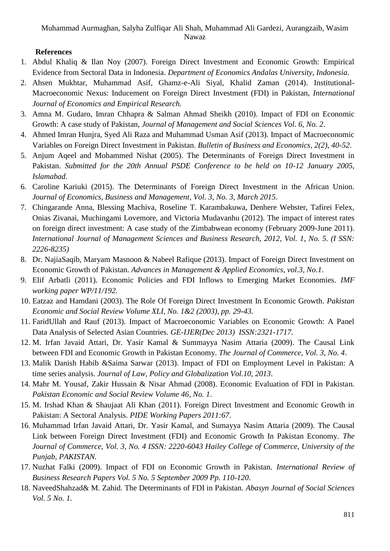## **References**

- 1. Abdul Khaliq & Ilan Noy (2007). Foreign Direct Investment and Economic Growth: Empirical Evidence from Sectoral Data in Indonesia. *Department of Economics Andalas University, Indonesia*.
- 2. Ahsen Mukhtar, Muhammad Asif, Ghamz-e-Ali Siyal, Khalid Zaman (2014). Institutional-Macroeconomic Nexus: Inducement on Foreign Direct Investment (FDI) in Pakistan, *International Journal of Economics and Empirical Research.*
- 3. Amna M. Gudaro, Imran Chhapra & Salman Ahmad Sheikh (2010). Impact of FDI on Economic Growth: A case study of Pakistan, *Journal of Management and Social Sciences Vol. 6, No. 2*.
- 4. Ahmed Imran Hunjra, Syed Ali Raza and Muhammad Usman Asif (2013). Impact of Macroeconomic Variables on Foreign Direct Investment in Pakistan. *Bulletin of Business and Economics, 2(2), 40-52.*
- 5. Anjum Aqeel and Mohammed Nishat (2005). The Determinants of Foreign Direct Investment in Pakistan. Submitted for the 20th Annual PSDE Conference to be held on 10-12 January 2005, *Islamabad*.
- 6. Caroline Kariuki (2015). The Determinants of Foreign Direct Investment in the African Union. *Journal of Economics, Business and Management, Vol. 3, No. 3, March 2015*.
- 7. Chingarande Anna, Blessing Machiva, Roseline T. Karambakuwa, Denhere Webster, Tafirei Felex, Onias Zivanai, Muchingami Lovemore, and Victoria Mudavanhu (2012). The impact of interest rates on foreign direct investment: A case study of the Zimbabwean economy (February 2009-June 2011). *International Journal of Management Sciences and Business Research, 2012, Vol. 1, No. 5. (I SSN: 2226-8235)*
- 8. Dr. NajiaSaqib, Maryam Masnoon & Nabeel Rafique (2013). Impact of Foreign Direct Investment on Economic Growth of Pakistan. *Advances in Management & Applied Economics, vol.3, No.1*.
- 9. Elif Arbatli (2011). Economic Policies and FDI Inflows to Emerging Market Economies. *IMF working paper WP/11/192.*
- 10. Eatzaz and Hamdani (2003). The Role Of Foreign Direct Investment In Economic Growth. *Pakistan Economic and Social Review Volume XLI, No. 1&2 (2003), pp. 29-43.*
- 11. FaridUllah and Rauf (2013). Impact of Macroeconomic Variables on Economic Growth: A Panel Data Analysis of Selected Asian Countries. *GE-IJER(Dec 2013) ISSN:2321-1717.*
- 12. M. Irfan Javaid Attari, Dr. Yasir Kamal & Summayya Nasim Attaria (2009). The Causal Link between FDI and Economic Growth in Pakistan Economy. *The Journal of Commerce, Vol. 3, No. 4*.
- 13. Malik Danish Habib &Saima Sarwar (2013). Impact of FDI on Employment Level in Pakistan: A time series analysis. *Journal of Law, Policy and Globalization Vol.10, 2013*.
- 14. Mahr M. Yousaf, Zakir Hussain & Nisar Ahmad (2008). Economic Evaluation of FDI in Pakistan. *Pakistan Economic and Social Review Volume 46, No. 1*.
- 15. M. Irshad Khan & Shaujaat Ali Khan (2011). Foreign Direct Investment and Economic Growth in Pakistan: A Sectoral Analysis. *PIDE Working Papers 2011:67*.
- 16. Muhammad Irfan Javaid Attari, Dr. Yasir Kamal, and Sumayya Nasim Attaria (2009). The Causal Link between Foreign Direct Investment (FDI) and Economic Growth In Pakistan Economy. *The Journal of Commerce, Vol. 3, No. 4 ISSN: 2220-6043 Hailey College of Commerce, University of the Punjab, PAKISTAN.*
- 17. Nuzhat Falki (2009). Impact of FDI on Economic Growth in Pakistan. *International Review of Business Research Papers Vol. 5 No. 5 September 2009 Pp. 110-120*.
- 18. NaveedShahzad& M. Zahid. The Determinants of FDI in Pakistan. *Abasyn Journal of Social Sciences Vol. 5 No. 1*.